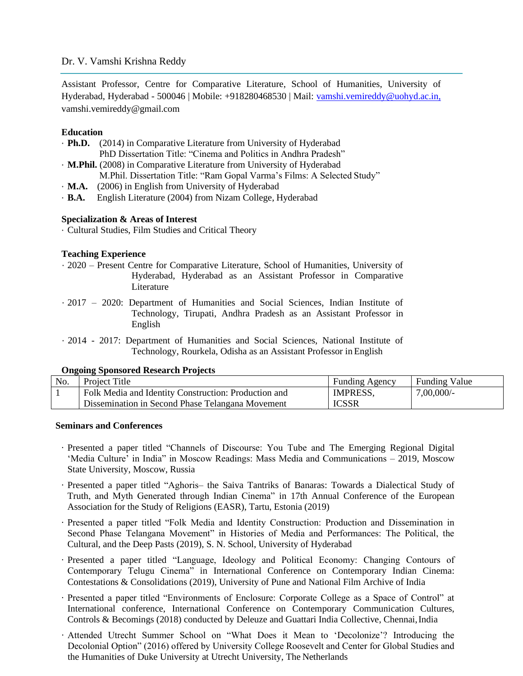# Dr. V. Vamshi Krishna Reddy

Assistant Professor, Centre for Comparative Literature, School of Humanities, University of Hyderabad, Hyderabad - 500046 | Mobile: +918280468530 | Mail: [vamshi.vemireddy@uohyd.ac.in,](mailto:vamshi.vemireddy@uohyd.ac.in,)  [vamshi.vemireddy@gmail.com](mailto:vamshi.vemireddy@gmail.com)

### **Education**

- · **Ph.D.** (2014) in Comparative Literature from University of Hyderabad PhD Dissertation Title: "Cinema and Politics in Andhra Pradesh"
- · **M.Phil.** (2008) in Comparative Literature from University of Hyderabad M.Phil. Dissertation Title: "Ram Gopal Varma's Films: A Selected Study"
- · **M.A.** (2006) in English from University of Hyderabad
- · **B.A.** English Literature (2004) from Nizam College, Hyderabad

### **Specialization & Areas of Interest**

· Cultural Studies, Film Studies and Critical Theory

### **Teaching Experience**

- · 2020 Present Centre for Comparative Literature, School of Humanities, University of Hyderabad, Hyderabad as an Assistant Professor in Comparative Literature
- · 2017 2020: Department of Humanities and Social Sciences, Indian Institute of Technology, Tirupati, Andhra Pradesh as an Assistant Professor in English
- · 2014 2017: Department of Humanities and Social Sciences, National Institute of Technology, Rourkela, Odisha as an Assistant Professor in English

# **Ongoing Sponsored Research Projects**

| No. | Project Title                                        | <b>Funding Agency</b> | <b>Funding Value</b> |
|-----|------------------------------------------------------|-----------------------|----------------------|
|     | Folk Media and Identity Construction: Production and | <b>IMPRESS.</b>       | 7,00,000/            |
|     | Dissemination in Second Phase Telangana Movement     | <b>ICSSR</b>          |                      |

#### **Seminars and Conferences**

- · Presented a paper titled "Channels of Discourse: You Tube and The Emerging Regional Digital 'Media Culture' in India" in Moscow Readings: Mass Media and Communications – 2019, Moscow State University, Moscow, Russia
- · Presented a paper titled "Aghoris– the Saiva Tantriks of Banaras: Towards a Dialectical Study of Truth, and Myth Generated through Indian Cinema" in 17th Annual Conference of the European Association for the Study of Religions (EASR), Tartu, Estonia (2019)
- · Presented a paper titled "Folk Media and Identity Construction: Production and Dissemination in Second Phase Telangana Movement" in Histories of Media and Performances: The Political, the Cultural, and the Deep Pasts (2019), S. N. School, University of Hyderabad
- · Presented a paper titled "Language, Ideology and Political Economy: Changing Contours of Contemporary Telugu Cinema" in International Conference on Contemporary Indian Cinema: Contestations & Consolidations (2019), University of Pune and National Film Archive of India
- · Presented a paper titled "Environments of Enclosure: Corporate College as a Space of Control" at International conference, International Conference on Contemporary Communication Cultures, Controls & Becomings (2018) conducted by Deleuze and Guattari India Collective, Chennai, India
- · Attended Utrecht Summer School on "What Does it Mean to 'Decolonize'? Introducing the Decolonial Option" (2016) offered by University College Roosevelt and Center for Global Studies and the Humanities of Duke University at Utrecht University, The Netherlands